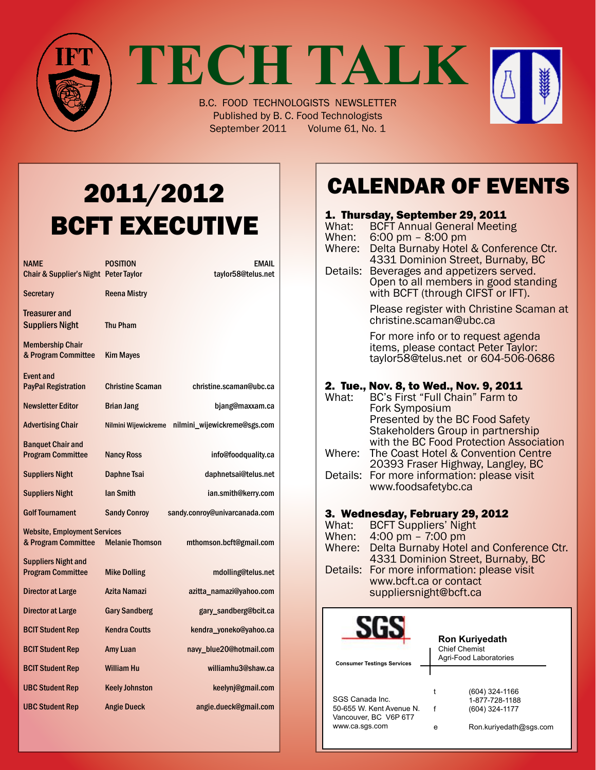

**TECH TALK**

B.C. FOOD TECHNOLOGISTS NEWSLETTER Published by B. C. Food Technologists September 2011 Volume 61, No. 1

# 2011/2012 BCFT EXECUTIVE

| <b>NAME</b><br>Chair & Supplier's Night Peter Taylor       | <b>POSITION</b>         | <b>EMAIL</b><br>taylor58@telus.net |
|------------------------------------------------------------|-------------------------|------------------------------------|
| <b>Secretary</b>                                           | <b>Reena Mistry</b>     |                                    |
| Treasurer and<br><b>Suppliers Night</b>                    | <b>Thu Pham</b>         |                                    |
| <b>Membership Chair</b><br>& Program Committee             | <b>Kim Mayes</b>        |                                    |
| Event and<br><b>PayPal Registration</b>                    | <b>Christine Scaman</b> | christine.scaman@ubc.ca            |
| <b>Newsletter Editor</b>                                   | <b>Brian Jang</b>       | bjang@maxxam.ca                    |
| <b>Advertising Chair</b>                                   | Nilmini Wijewickreme    | nilmini_wijewickreme@sgs.com       |
| <b>Banquet Chair and</b><br><b>Program Committee</b>       | <b>Nancy Ross</b>       | info@foodquality.ca                |
| <b>Suppliers Night</b>                                     | Daphne Tsai             | daphnetsai@telus.net               |
| <b>Suppliers Night</b>                                     | <b>Ian Smith</b>        | ian.smith@kerry.com                |
| <b>Golf Tournament</b>                                     | <b>Sandy Conroy</b>     | sandy.conroy@univarcanada.com      |
| <b>Website, Employment Services</b><br>& Program Committee | <b>Melanie Thomson</b>  | mthomson.bcft@gmail.com            |
| <b>Suppliers Night and</b><br><b>Program Committee</b>     | <b>Mike Dolling</b>     | mdolling@telus.net                 |
| Director at Large                                          | Azita Namazi            | azitta_namazi@yahoo.com            |
| Director at Large                                          | <b>Gary Sandberg</b>    | gary_sandberg@bcit.ca              |
| <b>BCIT Student Rep</b>                                    | <b>Kendra Coutts</b>    | kendra_yoneko@yahoo.ca             |
| <b>BCIT Student Rep</b>                                    | Amy Luan                | navy_blue20@hotmail.com            |
| <b>BCIT Student Rep</b>                                    | William Hu              | williamhu3@shaw.ca                 |
| <b>UBC Student Rep</b>                                     | <b>Keely Johnston</b>   | keelynj@gmail.com                  |
| <b>UBC Student Rep</b>                                     | <b>Angie Dueck</b>      | angie.dueck@gmail.com              |

# Calendar Of Events

#### **1. Thursday, September 29, 2011**<br>What: BCFT Annual General Meetir What: BCFT Annual General Meeting<br>When: 6:00 pm - 8:00 pm 6:00 pm – 8:00 pm Where: Delta Burnaby Hotel & Conference Ctr. 4331 Dominion Street, Burnaby, BC Details: Beverages and appetizers served.<br>Open to all members in good standing with BCFT (through CIFST or IFT). Please register with Christine Scaman at christine.scaman@ubc.ca For more info or to request agenda<br>items, please contact Peter Taylor: taylor58@telus.net or 604-506-0686 **2. Tue., Nov. 8, to Wed., Nov. 9, 2011**<br>What: BC's First "Full Chain" Farm to BC's First "Full Chain" Farm to Fork Symposium Presented by the BC Food Safety Stakeholders Group in partnership with the BC Food Protection Association Where: The Coast Hotel & Convention Centre 20393 Fraser Highway, Langley, BC Details: For more information: please visit www.foodsafetybc.ca 3. Wednesday, February 29, 2012<br>What: BCFT Suppliers' Night What: BCFT Suppliers' Night<br>When: 4:00 pm - 7:00 pm  $4:00 \text{ pm} - 7:00 \text{ pm}$ Where: Delta Burnaby Hotel and Conference Ctr. 4331 Dominion Street, Burnaby, BC Details: For more information: please visit www.bcft.ca or contact suppliersnight@bcft.ca **Ron Kuriyedath** Chief Chemist Agri-Food Laboratories **Consumer Testings Services**

|                          |   | (604) 324-1166         |
|--------------------------|---|------------------------|
| SGS Canada Inc.          |   | 1-877-728-1188         |
| 50-655 W. Kent Avenue N. |   | (604) 324-1177         |
| Vancouver, BC V6P 6T7    |   |                        |
| www.ca.sqs.com           | е | Ron.kuriyedath@sgs.com |
|                          |   |                        |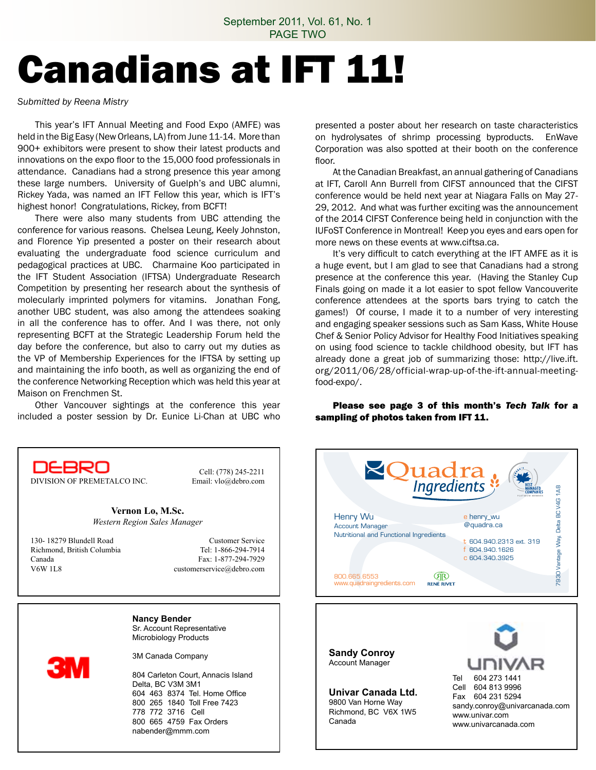# Canadians at IFT 11!

*Submitted by Reena Mistry*

 This year's IFT Annual Meeting and Food Expo (AMFE) was held in the Big Easy (New Orleans, LA) from June 11-14. More than 900+ exhibitors were present to show their latest products and innovations on the expo floor to the 15,000 food professionals in attendance. Canadians had a strong presence this year among these large numbers. University of Guelph's and UBC alumni, Rickey Yada, was named an IFT Fellow this year, which is IFT's highest honor! Congratulations, Rickey, from BCFT!

 There were also many students from UBC attending the conference for various reasons. Chelsea Leung, Keely Johnston, and Florence Yip presented a poster on their research about evaluating the undergraduate food science curriculum and pedagogical practices at UBC. Charmaine Koo participated in the IFT Student Association (IFTSA) Undergraduate Research Competition by presenting her research about the synthesis of molecularly imprinted polymers for vitamins. Jonathan Fong, another UBC student, was also among the attendees soaking in all the conference has to offer. And I was there, not only representing BCFT at the Strategic Leadership Forum held the day before the conference, but also to carry out my duties as the VP of Membership Experiences for the IFTSA by setting up and maintaining the info booth, as well as organizing the end of the conference Networking Reception which was held this year at Maison on Frenchmen St.

 Other Vancouver sightings at the conference this year included a poster session by Dr. Eunice Li-Chan at UBC who presented a poster about her research on taste characteristics on hydrolysates of shrimp processing byproducts. EnWave Corporation was also spotted at their booth on the conference floor.

 At the Canadian Breakfast, an annual gathering of Canadians at IFT, Caroll Ann Burrell from CIFST announced that the CIFST conference would be held next year at Niagara Falls on May 27- 29, 2012. And what was further exciting was the announcement of the 2014 CIFST Conference being held in conjunction with the IUFoST Conference in Montreal! Keep you eyes and ears open for more news on these events at www.ciftsa.ca.

 It's very difficult to catch everything at the IFT AMFE as it is a huge event, but I am glad to see that Canadians had a strong presence at the conference this year. (Having the Stanley Cup Finals going on made it a lot easier to spot fellow Vancouverite conference attendees at the sports bars trying to catch the games!) Of course, I made it to a number of very interesting and engaging speaker sessions such as Sam Kass, White House Chef & Senior Policy Advisor for Healthy Food Initiatives speaking on using food science to tackle childhood obesity, but IFT has already done a great job of summarizing those: http://live.ift. org/2011/06/28/official-wrap-up-of-the-ift-annual-meetingfood-expo/.

Please see page 3 of this month's *Tech Talk* for a sampling of photos taken from IFT 11.



**Sandy Conroy** Account Manager

**Univar Canada Ltd.** 9800 Van Horne Way Richmond, BC V6X 1W5 Canada





DIVISION OF PREMETALCO INC. Email: vlo@debro.com

**Vernon Lo, M.Sc.** *Western Region Sales Manager*

130- 18279 Blundell Road<br>
Richmond. British Columbia<br>
Tel: 1-866-294-7914 Richmond, British Columbia Canada Fax: 1-877-294-7929 V6W 1L8 customerservice@debro.com

Cell: (778) 245-2211

**Nancy Bender** Sr. Account Representative Microbiology Products

3M Canada Company

804 Carleton Court, Annacis Island Delta, BC V3M 3M1 604 463 8374 Tel. Home Office 800 265 1840 Toll Free 7423 778 772 3716 Cell 800 665 4759 Fax Orders nabender@mmm.com

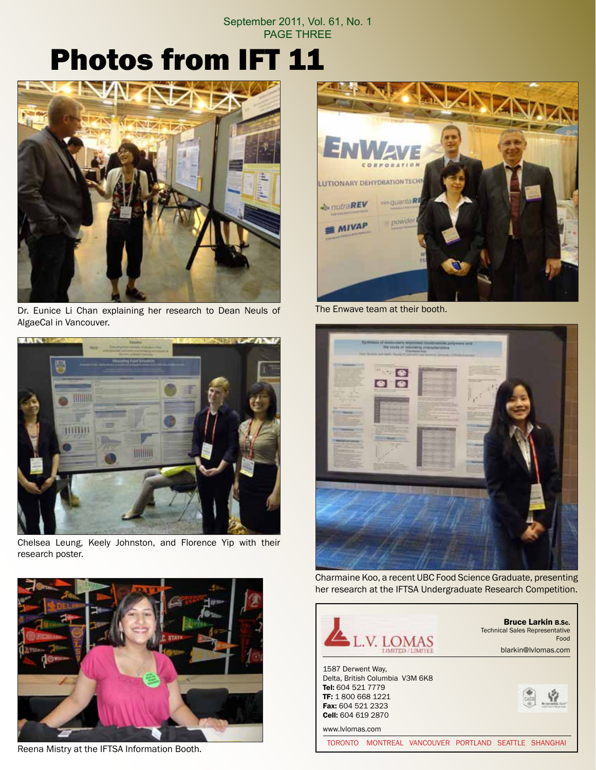#### September 2011, Vol. 61, No. 1 PAGE THREE

# Photos from IFT 11



Dr. Eunice Li Chan explaining her research to Dean Neuls of AlgaeCal in Vancouver.



Chelsea Leung, Keely Johnston, and Florence Yip with their research poster.



Reena Mistry at the IFTSA Information Booth.



The Enwave team at their booth.



Charmaine Koo, a recent UBC Food Science Graduate, presenting her research at the IFTSA Undergraduate Research Competition.

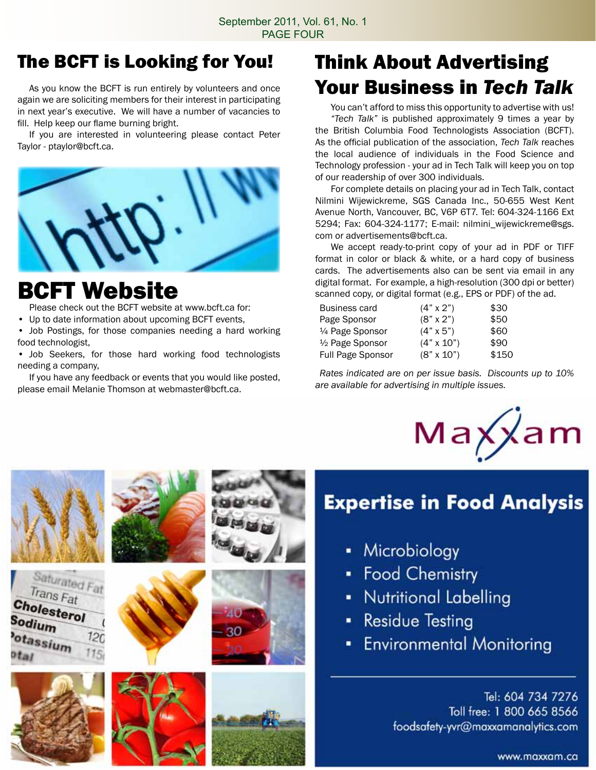### The BCFT is Looking for You!

 As you know the BCFT is run entirely by volunteers and once again we are soliciting members for their interest in participating in next year's executive. We will have a number of vacancies to fill. Help keep our flame burning bright.

 If you are interested in volunteering please contact Peter Taylor - ptaylor@bcft.ca.



## BCFT Website

 Please check out the BCFT website at www.bcft.ca for:

• Up to date information about upcoming BCFT events,

• Job Postings, for those companies needing a hard working food technologist,

• Job Seekers, for those hard working food technologists needing a company,

 If you have any feedback or events that you would like posted, please email Melanie Thomson at webmaster@bcft.ca.

## Think About Advertising Your Business in *Tech Talk*

You can't afford to miss this opportunity to advertise with us! *"Tech Talk"* is published approximately 9 times a year by the British Columbia Food Technologists Association (BCFT). As the official publication of the association, *Tech Talk* reaches the local audience of individuals in the Food Science and Technology profession - your ad in Tech Talk will keep you on top of our readership of over 300 individuals.

 For complete details on placing your ad in Tech Talk, contact Nilmini Wijewickreme, SGS Canada Inc., 50-655 West Kent Avenue North, Vancouver, BC, V6P 6T7. Tel: 604-324-1166 Ext 5294; Fax: 604-324-1177; E-mail: nilmini\_wijewickreme@sgs. com or advertisements@bcft.ca.

 We accept ready-to-print copy of your ad in PDF or TIFF format in color or black & white, or a hard copy of business cards. The advertisements also can be sent via email in any digital format. For example, a high-resolution (300 dpi or better) scanned copy, or digital format (e.g., EPS or PDF) of the ad.

| $(4" \times 2")$  | \$30  |
|-------------------|-------|
| $(8" \times 2")$  | \$50  |
| $(4" \times 5")$  | \$60  |
| $(4" \times 10")$ | \$90  |
| $(8" \times 10")$ | \$150 |
|                   |       |

*Rates indicated are on per issue basis. Discounts up to 10% are available for advertising in multiple issues.*



## **Expertise in Food Analysis**

- Microbiology
- Food Chemistry
- Nutritional Labelling
- **Residue Testing**
- **Environmental Monitoring**

Tel: 604 734 7276 Toll free: 1 800 665 8566 foodsafety-yvr@maxxamanalytics.com

www.maxxam.ca











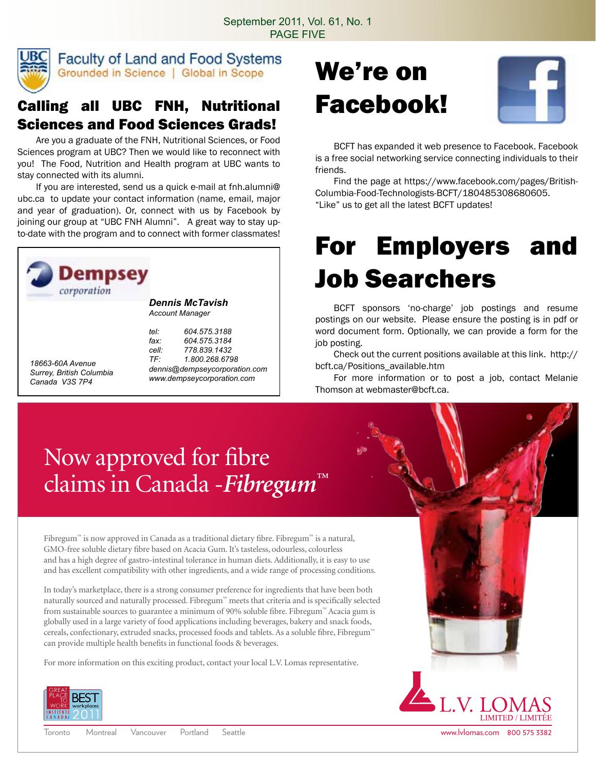

**Faculty of Land and Food Systems** Grounded in Science | Global in Scope

#### Calling all UBC FNH, Nutritional Sciences and Food Sciences Grads!

 Are you a graduate of the FNH, Nutritional Sciences, or Food Sciences program at UBC? Then we would like to reconnect with you! The Food, Nutrition and Health program at UBC wants to stay connected with its alumni.

 If you are interested, send us a quick e-mail at fnh.alumni@ ubc.ca to update your contact information (name, email, major and year of graduation). Or, connect with us by Facebook by joining our group at "UBC FNH Alumni". A great way to stay upto-date with the program and to connect with former classmates!



*Dennis McTavish Account Manager*

*18663-60A Avenue Surrey, British Columbia Canada V3S 7P4*

*tel: 604.575.3188 fax: 604.575.3184 cell: 778.839.1432 TF: 1.800.268.6798 dennis@dempseycorporation.com www.dempseycorporation.com*

# We're on Facebook!



 BCFT has expanded it web presence to Facebook. Facebook is a free social networking service connecting individuals to their friends.

 Find the page at https://www.facebook.com/pages/British-Columbia-Food-Technologists-BCFT/180485308680605. "Like" us to get all the latest BCFT updates!

# For Employers and Job Searchers

 BCFT sponsors 'no-charge' job postings and resume postings on our website. Please ensure the posting is in pdf or word document form. Optionally, we can provide a form for the job posting.

 Check out the current positions available at this link. http:// bcft.ca/Positions\_available.htm

 For more information or to post a job, contact Melanie Thomson at webmaster@bcft.ca.

# Now approved for fibre claims in Canada -*Fibregum™*

Fibregum™ is now approved in Canada as a traditional dietary fibre. Fibregum™ is a natural, GMO-free soluble dietary fibre based on Acacia Gum. It's tasteless, odourless, colourless and has a high degree of gastro-intestinal tolerance in human diets. Additionally, it is easy to use and has excellent compatibility with other ingredients, and a wide range of processing conditions.

In today's marketplace, there is a strong consumer preference for ingredients that have been both naturally sourced and naturally processed. Fibregum™ meets that criteria and is specifically selected from sustainable sources to guarantee a minimum of 90% soluble fibre. Fibregum™ Acacia gum is globally used in a large variety of food applications including beverages, bakery and snack foods, cereals, confectionary, extruded snacks, processed foods and tablets. As a soluble fibre, Fibregum™ can provide multiple health benefits in functional foods & beverages.

For more information on this exciting product, contact your local L.V. Lomas representative.



**LIMITED / LIMIT**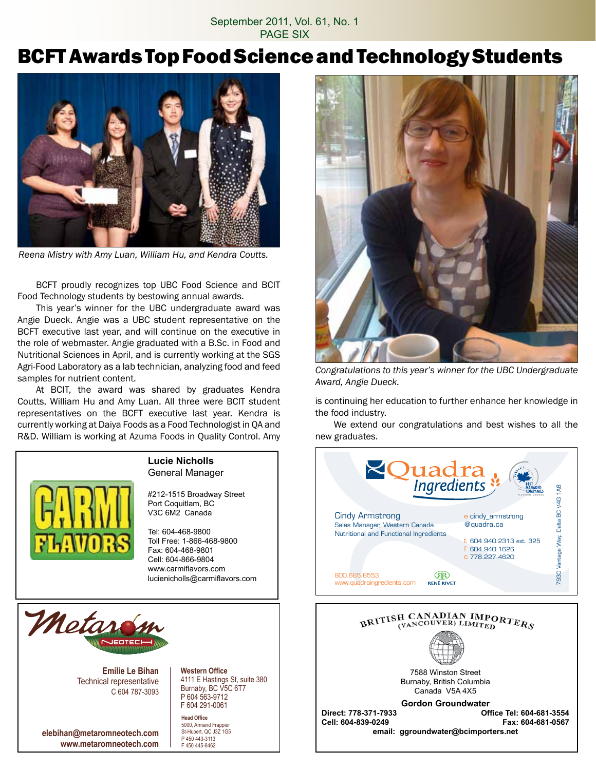#### September 2011, Vol. 61, No. 1 PAGE SIX

### BCFT Awards Top Food Science and Technology Students



*Reena Mistry with Amy Luan, William Hu, and Kendra Coutts.*

 BCFT proudly recognizes top UBC Food Science and BCIT Food Technology students by bestowing annual awards.

 This year's winner for the UBC undergraduate award was Angie Dueck. Angie was a UBC student representative on the BCFT executive last year, and will continue on the executive in the role of webmaster. Angie graduated with a B.Sc. in Food and Nutritional Sciences in April, and is currently working at the SGS Agri-Food Laboratory as a lab technician, analyzing food and feed samples for nutrient content.

 At BCIT, the award was shared by graduates Kendra Coutts, William Hu and Amy Luan. All three were BCIT student representatives on the BCFT executive last year. Kendra is currently working at Daiya Foods as a Food Technologist in QA and R&D. William is working at Azuma Foods in Quality Control. Amy



#### **Lucie Nicholls** General Manager

#212-1515 Broadway Street Port Coquitlam, BC V3C 6M2 Canada

Tel: 604-468-9800 Toll Free: 1-866-468-9800 Fax: 604-468-9801 Cell: 604-866-9804 www.carmiflavors.com lucienicholls@carmiflavors.com



**Emilie Le Bihan** Technical representative C 604 787-3093

**elebihan@metaromneotech.com www.metaromneotech.com**

**Western Office** 4111 E Hastings St, suite 380 Burnaby, BC V5C 6T7 P 604 563-9712 F 604 291-0061

**Head Office** 5000, Armand Frappier St-Hubert, QC J3Z 1G5 P 450 443-3113 F 450 445-8462



*Congratulations to this year's winner for the UBC Undergraduate Award, Angie Dueck.* 

is continuing her education to further enhance her knowledge in the food industry.

 We extend our congratulations and best wishes to all the new graduates.



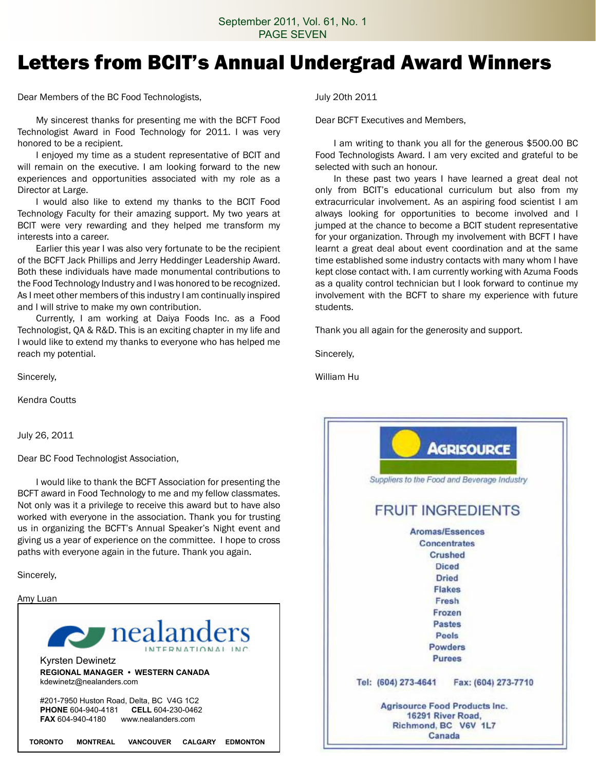### Letters from BCIT's Annual Undergrad Award Winners

Dear Members of the BC Food Technologists,

 My sincerest thanks for presenting me with the BCFT Food Technologist Award in Food Technology for 2011. I was very honored to be a recipient.

 I enjoyed my time as a student representative of BCIT and will remain on the executive. I am looking forward to the new experiences and opportunities associated with my role as a Director at Large.

 I would also like to extend my thanks to the BCIT Food Technology Faculty for their amazing support. My two years at BCIT were very rewarding and they helped me transform my interests into a career.

 Earlier this year I was also very fortunate to be the recipient of the BCFT Jack Phillips and Jerry Heddinger Leadership Award. Both these individuals have made monumental contributions to the Food Technology Industry and I was honored to be recognized. As I meet other members of this industry I am continually inspired and I will strive to make my own contribution.

 Currently, I am working at Daiya Foods Inc. as a Food Technologist, QA & R&D. This is an exciting chapter in my life and I would like to extend my thanks to everyone who has helped me reach my potential.

Sincerely,

Kendra Coutts

July 26, 2011

Dear BC Food Technologist Association,

 I would like to thank the BCFT Association for presenting the BCFT award in Food Technology to me and my fellow classmates. Not only was it a privilege to receive this award but to have also worked with everyone in the association. Thank you for trusting us in organizing the BCFT's Annual Speaker's Night event and giving us a year of experience on the committee. I hope to cross paths with everyone again in the future. Thank you again.

Sincerely,

Amy Luan



July 20th 2011

Dear BCFT Executives and Members,

 I am writing to thank you all for the generous \$500.00 BC Food Technologists Award. I am very excited and grateful to be selected with such an honour.

 In these past two years I have learned a great deal not only from BCIT's educational curriculum but also from my extracurricular involvement. As an aspiring food scientist I am always looking for opportunities to become involved and I jumped at the chance to become a BCIT student representative for your organization. Through my involvement with BCFT I have learnt a great deal about event coordination and at the same time established some industry contacts with many whom I have kept close contact with. I am currently working with Azuma Foods as a quality control technician but I look forward to continue my involvement with the BCFT to share my experience with future students.

Thank you all again for the generosity and support.

Sincerely,

William Hu